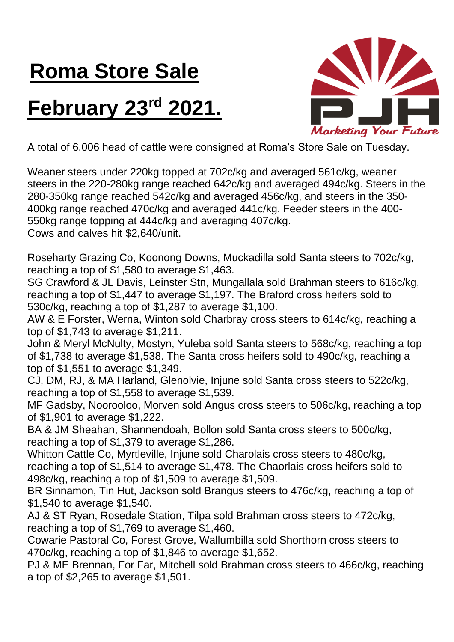## **Roma Store Sale**

## **February 23<sup>rd</sup> 2021.**



A total of 6,006 head of cattle were consigned at Roma's Store Sale on Tuesday.

Weaner steers under 220kg topped at 702c/kg and averaged 561c/kg, weaner steers in the 220-280kg range reached 642c/kg and averaged 494c/kg. Steers in the 280-350kg range reached 542c/kg and averaged 456c/kg, and steers in the 350- 400kg range reached 470c/kg and averaged 441c/kg. Feeder steers in the 400- 550kg range topping at 444c/kg and averaging 407c/kg. Cows and calves hit \$2,640/unit.

Roseharty Grazing Co, Koonong Downs, Muckadilla sold Santa steers to 702c/kg, reaching a top of \$1,580 to average \$1,463.

SG Crawford & JL Davis, Leinster Stn, Mungallala sold Brahman steers to 616c/kg, reaching a top of \$1,447 to average \$1,197. The Braford cross heifers sold to 530c/kg, reaching a top of \$1,287 to average \$1,100.

AW & E Forster, Werna, Winton sold Charbray cross steers to 614c/kg, reaching a top of \$1,743 to average \$1,211.

John & Meryl McNulty, Mostyn, Yuleba sold Santa steers to 568c/kg, reaching a top of \$1,738 to average \$1,538. The Santa cross heifers sold to 490c/kg, reaching a top of \$1,551 to average \$1,349.

CJ, DM, RJ, & MA Harland, Glenolvie, Injune sold Santa cross steers to 522c/kg, reaching a top of \$1,558 to average \$1,539.

MF Gadsby, Noorooloo, Morven sold Angus cross steers to 506c/kg, reaching a top of \$1,901 to average \$1,222.

BA & JM Sheahan, Shannendoah, Bollon sold Santa cross steers to 500c/kg, reaching a top of \$1,379 to average \$1,286.

Whitton Cattle Co, Myrtleville, Injune sold Charolais cross steers to 480c/kg, reaching a top of \$1,514 to average \$1,478. The Chaorlais cross heifers sold to 498c/kg, reaching a top of \$1,509 to average \$1,509.

BR Sinnamon, Tin Hut, Jackson sold Brangus steers to 476c/kg, reaching a top of \$1,540 to average \$1,540.

AJ & ST Ryan, Rosedale Station, Tilpa sold Brahman cross steers to 472c/kg, reaching a top of \$1,769 to average \$1,460.

Cowarie Pastoral Co, Forest Grove, Wallumbilla sold Shorthorn cross steers to 470c/kg, reaching a top of \$1,846 to average \$1,652.

PJ & ME Brennan, For Far, Mitchell sold Brahman cross steers to 466c/kg, reaching a top of \$2,265 to average \$1,501.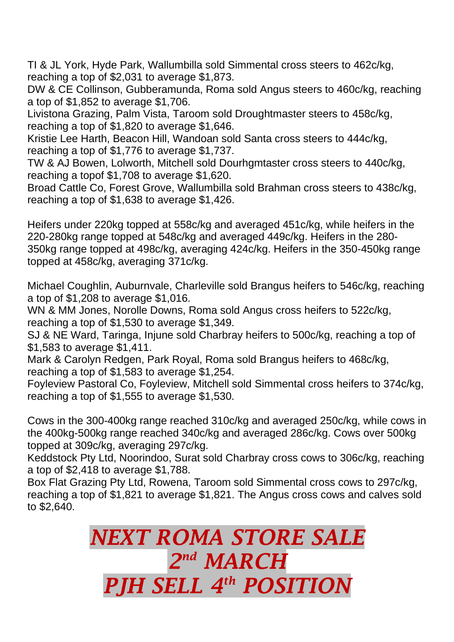TI & JL York, Hyde Park, Wallumbilla sold Simmental cross steers to 462c/kg, reaching a top of \$2,031 to average \$1,873.

DW & CE Collinson, Gubberamunda, Roma sold Angus steers to 460c/kg, reaching a top of \$1,852 to average \$1,706.

Livistona Grazing, Palm Vista, Taroom sold Droughtmaster steers to 458c/kg, reaching a top of \$1,820 to average \$1,646.

Kristie Lee Harth, Beacon Hill, Wandoan sold Santa cross steers to 444c/kg, reaching a top of \$1,776 to average \$1,737.

TW & AJ Bowen, Lolworth, Mitchell sold Dourhgmtaster cross steers to 440c/kg, reaching a topof \$1,708 to average \$1,620.

Broad Cattle Co, Forest Grove, Wallumbilla sold Brahman cross steers to 438c/kg, reaching a top of \$1,638 to average \$1,426.

Heifers under 220kg topped at 558c/kg and averaged 451c/kg, while heifers in the 220-280kg range topped at 548c/kg and averaged 449c/kg. Heifers in the 280- 350kg range topped at 498c/kg, averaging 424c/kg. Heifers in the 350-450kg range topped at 458c/kg, averaging 371c/kg.

Michael Coughlin, Auburnvale, Charleville sold Brangus heifers to 546c/kg, reaching a top of \$1,208 to average \$1,016.

WN & MM Jones, Norolle Downs, Roma sold Angus cross heifers to 522c/kg, reaching a top of \$1,530 to average \$1,349.

SJ & NE Ward, Taringa, Injune sold Charbray heifers to 500c/kg, reaching a top of \$1,583 to average \$1,411.

Mark & Carolyn Redgen, Park Royal, Roma sold Brangus heifers to 468c/kg, reaching a top of \$1,583 to average \$1,254.

Foyleview Pastoral Co, Foyleview, Mitchell sold Simmental cross heifers to 374c/kg, reaching a top of \$1,555 to average \$1,530.

Cows in the 300-400kg range reached 310c/kg and averaged 250c/kg, while cows in the 400kg-500kg range reached 340c/kg and averaged 286c/kg. Cows over 500kg topped at 309c/kg, averaging 297c/kg.

Keddstock Pty Ltd, Noorindoo, Surat sold Charbray cross cows to 306c/kg, reaching a top of \$2,418 to average \$1,788.

Box Flat Grazing Pty Ltd, Rowena, Taroom sold Simmental cross cows to 297c/kg, reaching a top of \$1,821 to average \$1,821. The Angus cross cows and calves sold to \$2,640.

> *NEXT ROMA STORE SALE 2 nd MARCH PJH SELL 4 th POSITION*